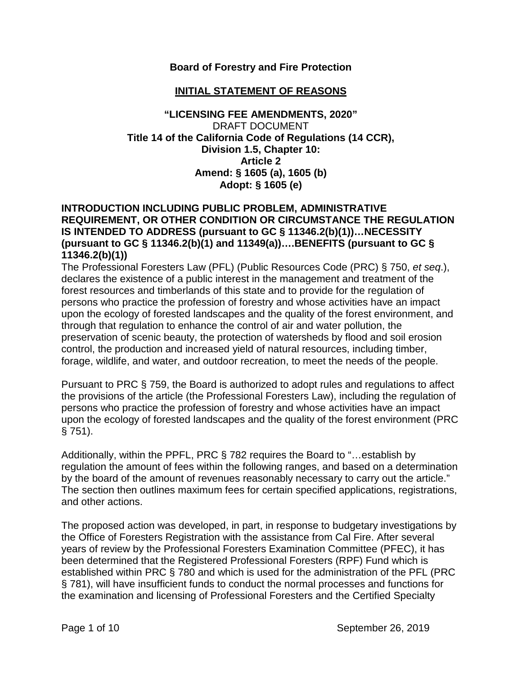### **Board of Forestry and Fire Protection**

### **INITIAL STATEMENT OF REASONS**

#### **"LICENSING FEE AMENDMENTS, 2020"** DRAFT DOCUMENT **Title 14 of the California Code of Regulations (14 CCR), Division 1.5, Chapter 10: Article 2 Amend: § 1605 (a), 1605 (b) Adopt: § 1605 (e)**

#### **INTRODUCTION INCLUDING PUBLIC PROBLEM, ADMINISTRATIVE REQUIREMENT, OR OTHER CONDITION OR CIRCUMSTANCE THE REGULATION IS INTENDED TO ADDRESS (pursuant to GC § 11346.2(b)(1))…NECESSITY (pursuant to GC § 11346.2(b)(1) and 11349(a))….BENEFITS (pursuant to GC § 11346.2(b)(1))**

The Professional Foresters Law (PFL) (Public Resources Code (PRC) § 750, *et seq*.), declares the existence of a public interest in the management and treatment of the forest resources and timberlands of this state and to provide for the regulation of persons who practice the profession of forestry and whose activities have an impact upon the ecology of forested landscapes and the quality of the forest environment, and through that regulation to enhance the control of air and water pollution, the preservation of scenic beauty, the protection of watersheds by flood and soil erosion control, the production and increased yield of natural resources, including timber, forage, wildlife, and water, and outdoor recreation, to meet the needs of the people.

Pursuant to PRC § 759, the Board is authorized to adopt rules and regulations to affect the provisions of the article (the Professional Foresters Law), including the regulation of persons who practice the profession of forestry and whose activities have an impact upon the ecology of forested landscapes and the quality of the forest environment (PRC § 751).

Additionally, within the PPFL, PRC § 782 requires the Board to "…establish by regulation the amount of fees within the following ranges, and based on a determination by the board of the amount of revenues reasonably necessary to carry out the article." The section then outlines maximum fees for certain specified applications, registrations, and other actions.

The proposed action was developed, in part, in response to budgetary investigations by the Office of Foresters Registration with the assistance from Cal Fire. After several years of review by the Professional Foresters Examination Committee (PFEC), it has been determined that the Registered Professional Foresters (RPF) Fund which is established within PRC § 780 and which is used for the administration of the PFL (PRC § 781), will have insufficient funds to conduct the normal processes and functions for the examination and licensing of Professional Foresters and the Certified Specialty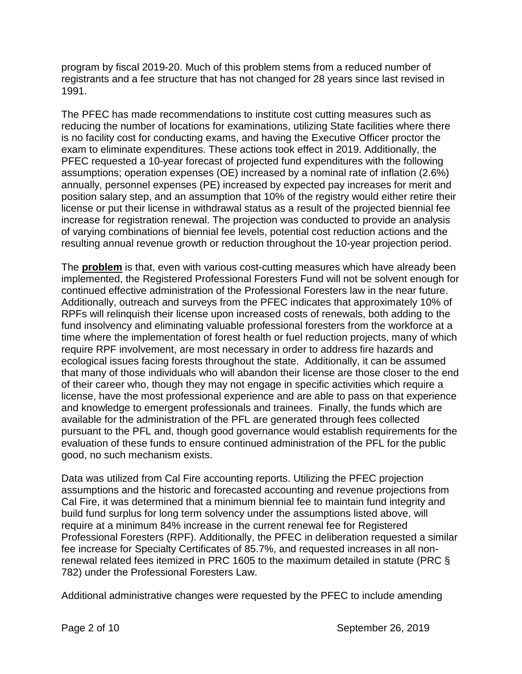program by fiscal 2019-20. Much of this problem stems from a reduced number of registrants and a fee structure that has not changed for 28 years since last revised in 1991.

The PFEC has made recommendations to institute cost cutting measures such as reducing the number of locations for examinations, utilizing State facilities where there is no facility cost for conducting exams, and having the Executive Officer proctor the exam to eliminate expenditures. These actions took effect in 2019. Additionally, the PFEC requested a 10-year forecast of projected fund expenditures with the following assumptions; operation expenses (OE) increased by a nominal rate of inflation (2.6%) annually, personnel expenses (PE) increased by expected pay increases for merit and position salary step, and an assumption that 10% of the registry would either retire their license or put their license in withdrawal status as a result of the projected biennial fee increase for registration renewal. The projection was conducted to provide an analysis of varying combinations of biennial fee levels, potential cost reduction actions and the resulting annual revenue growth or reduction throughout the 10-year projection period.

The **problem** is that, even with various cost-cutting measures which have already been implemented, the Registered Professional Foresters Fund will not be solvent enough for continued effective administration of the Professional Foresters law in the near future. Additionally, outreach and surveys from the PFEC indicates that approximately 10% of RPFs will relinquish their license upon increased costs of renewals, both adding to the fund insolvency and eliminating valuable professional foresters from the workforce at a time where the implementation of forest health or fuel reduction projects, many of which require RPF involvement, are most necessary in order to address fire hazards and ecological issues facing forests throughout the state. Additionally, it can be assumed that many of those individuals who will abandon their license are those closer to the end of their career who, though they may not engage in specific activities which require a license, have the most professional experience and are able to pass on that experience and knowledge to emergent professionals and trainees. Finally, the funds which are available for the administration of the PFL are generated through fees collected pursuant to the PFL and, though good governance would establish requirements for the evaluation of these funds to ensure continued administration of the PFL for the public good, no such mechanism exists.

Data was utilized from Cal Fire accounting reports. Utilizing the PFEC projection assumptions and the historic and forecasted accounting and revenue projections from Cal Fire, it was determined that a minimum biennial fee to maintain fund integrity and build fund surplus for long term solvency under the assumptions listed above, will require at a minimum 84% increase in the current renewal fee for Registered Professional Foresters (RPF). Additionally, the PFEC in deliberation requested a similar fee increase for Specialty Certificates of 85.7%, and requested increases in all nonrenewal related fees itemized in PRC 1605 to the maximum detailed in statute (PRC § 782) under the Professional Foresters Law.

Additional administrative changes were requested by the PFEC to include amending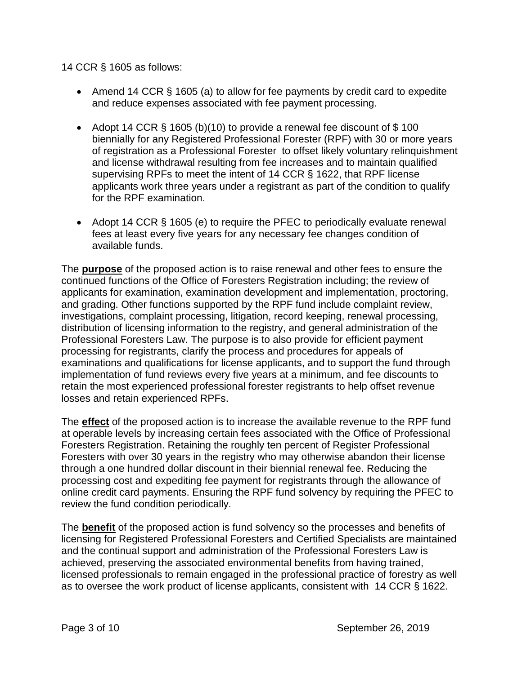#### 14 CCR § 1605 as follows:

- Amend 14 CCR § 1605 (a) to allow for fee payments by credit card to expedite and reduce expenses associated with fee payment processing.
- Adopt 14 CCR  $\S$  1605 (b)(10) to provide a renewal fee discount of  $\S$  100 biennially for any Registered Professional Forester (RPF) with 30 or more years of registration as a Professional Forester to offset likely voluntary relinquishment and license withdrawal resulting from fee increases and to maintain qualified supervising RPFs to meet the intent of 14 CCR § 1622, that RPF license applicants work three years under a registrant as part of the condition to qualify for the RPF examination.
- Adopt 14 CCR § 1605 (e) to require the PFEC to periodically evaluate renewal fees at least every five years for any necessary fee changes condition of available funds.

The **purpose** of the proposed action is to raise renewal and other fees to ensure the continued functions of the Office of Foresters Registration including; the review of applicants for examination, examination development and implementation, proctoring, and grading. Other functions supported by the RPF fund include complaint review, investigations, complaint processing, litigation, record keeping, renewal processing, distribution of licensing information to the registry, and general administration of the Professional Foresters Law. The purpose is to also provide for efficient payment processing for registrants, clarify the process and procedures for appeals of examinations and qualifications for license applicants, and to support the fund through implementation of fund reviews every five years at a minimum, and fee discounts to retain the most experienced professional forester registrants to help offset revenue losses and retain experienced RPFs.

The **effect** of the proposed action is to increase the available revenue to the RPF fund at operable levels by increasing certain fees associated with the Office of Professional Foresters Registration. Retaining the roughly ten percent of Register Professional Foresters with over 30 years in the registry who may otherwise abandon their license through a one hundred dollar discount in their biennial renewal fee. Reducing the processing cost and expediting fee payment for registrants through the allowance of online credit card payments. Ensuring the RPF fund solvency by requiring the PFEC to review the fund condition periodically.

The **benefit** of the proposed action is fund solvency so the processes and benefits of licensing for Registered Professional Foresters and Certified Specialists are maintained and the continual support and administration of the Professional Foresters Law is achieved, preserving the associated environmental benefits from having trained, licensed professionals to remain engaged in the professional practice of forestry as well as to oversee the work product of license applicants, consistent with 14 CCR § 1622.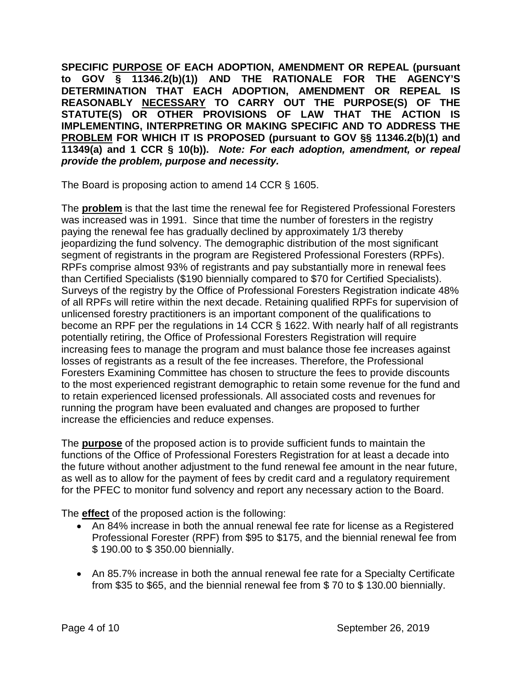**SPECIFIC PURPOSE OF EACH ADOPTION, AMENDMENT OR REPEAL (pursuant to GOV § 11346.2(b)(1)) AND THE RATIONALE FOR THE AGENCY'S DETERMINATION THAT EACH ADOPTION, AMENDMENT OR REPEAL IS REASONABLY NECESSARY TO CARRY OUT THE PURPOSE(S) OF THE STATUTE(S) OR OTHER PROVISIONS OF LAW THAT THE ACTION IS IMPLEMENTING, INTERPRETING OR MAKING SPECIFIC AND TO ADDRESS THE PROBLEM FOR WHICH IT IS PROPOSED (pursuant to GOV §§ 11346.2(b)(1) and 11349(a) and 1 CCR § 10(b)).** *Note: For each adoption, amendment, or repeal provide the problem, purpose and necessity.*

The Board is proposing action to amend 14 CCR § 1605.

The **problem** is that the last time the renewal fee for Registered Professional Foresters was increased was in 1991. Since that time the number of foresters in the registry paying the renewal fee has gradually declined by approximately 1/3 thereby jeopardizing the fund solvency. The demographic distribution of the most significant segment of registrants in the program are Registered Professional Foresters (RPFs). RPFs comprise almost 93% of registrants and pay substantially more in renewal fees than Certified Specialists (\$190 biennially compared to \$70 for Certified Specialists). Surveys of the registry by the Office of Professional Foresters Registration indicate 48% of all RPFs will retire within the next decade. Retaining qualified RPFs for supervision of unlicensed forestry practitioners is an important component of the qualifications to become an RPF per the regulations in 14 CCR § 1622. With nearly half of all registrants potentially retiring, the Office of Professional Foresters Registration will require increasing fees to manage the program and must balance those fee increases against losses of registrants as a result of the fee increases. Therefore, the Professional Foresters Examining Committee has chosen to structure the fees to provide discounts to the most experienced registrant demographic to retain some revenue for the fund and to retain experienced licensed professionals. All associated costs and revenues for running the program have been evaluated and changes are proposed to further increase the efficiencies and reduce expenses.

The **purpose** of the proposed action is to provide sufficient funds to maintain the functions of the Office of Professional Foresters Registration for at least a decade into the future without another adjustment to the fund renewal fee amount in the near future, as well as to allow for the payment of fees by credit card and a regulatory requirement for the PFEC to monitor fund solvency and report any necessary action to the Board.

The **effect** of the proposed action is the following:

- An 84% increase in both the annual renewal fee rate for license as a Registered Professional Forester (RPF) from \$95 to \$175, and the biennial renewal fee from \$ 190.00 to \$ 350.00 biennially.
- An 85.7% increase in both the annual renewal fee rate for a Specialty Certificate from \$35 to \$65, and the biennial renewal fee from \$ 70 to \$ 130.00 biennially.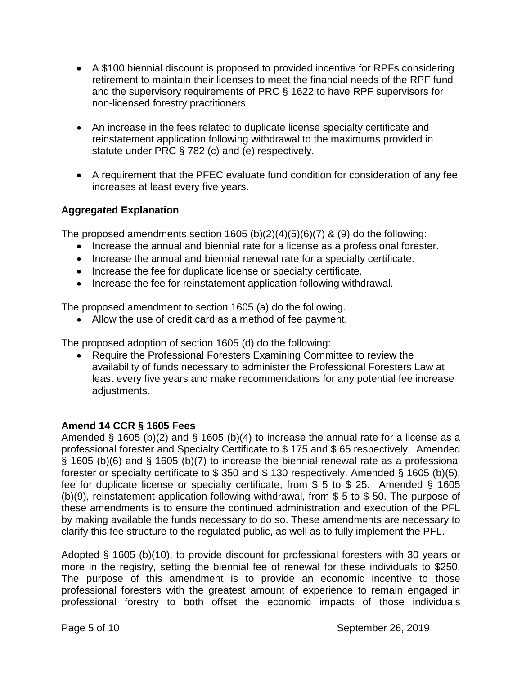- A \$100 biennial discount is proposed to provided incentive for RPFs considering retirement to maintain their licenses to meet the financial needs of the RPF fund and the supervisory requirements of PRC § 1622 to have RPF supervisors for non-licensed forestry practitioners.
- An increase in the fees related to duplicate license specialty certificate and reinstatement application following withdrawal to the maximums provided in statute under PRC § 782 (c) and (e) respectively.
- A requirement that the PFEC evaluate fund condition for consideration of any fee increases at least every five years.

# **Aggregated Explanation**

The proposed amendments section  $1605 (b)(2)(4)(5)(6)(7)$  & (9) do the following:

- Increase the annual and biennial rate for a license as a professional forester.
- Increase the annual and biennial renewal rate for a specialty certificate.
- Increase the fee for duplicate license or specialty certificate.
- Increase the fee for reinstatement application following withdrawal.

The proposed amendment to section 1605 (a) do the following.

• Allow the use of credit card as a method of fee payment.

The proposed adoption of section 1605 (d) do the following:

• Require the Professional Foresters Examining Committee to review the availability of funds necessary to administer the Professional Foresters Law at least every five years and make recommendations for any potential fee increase adjustments.

## **Amend 14 CCR § 1605 Fees**

Amended § 1605 (b)(2) and § 1605 (b)(4) to increase the annual rate for a license as a professional forester and Specialty Certificate to \$ 175 and \$ 65 respectively. Amended § 1605 (b)(6) and § 1605 (b)(7) to increase the biennial renewal rate as a professional forester or specialty certificate to \$ 350 and \$ 130 respectively. Amended § 1605 (b)(5), fee for duplicate license or specialty certificate, from \$ 5 to \$ 25. Amended § 1605 (b)(9), reinstatement application following withdrawal, from \$ 5 to \$ 50. The purpose of these amendments is to ensure the continued administration and execution of the PFL by making available the funds necessary to do so. These amendments are necessary to clarify this fee structure to the regulated public, as well as to fully implement the PFL.

Adopted § 1605 (b)(10), to provide discount for professional foresters with 30 years or more in the registry, setting the biennial fee of renewal for these individuals to \$250. The purpose of this amendment is to provide an economic incentive to those professional foresters with the greatest amount of experience to remain engaged in professional forestry to both offset the economic impacts of those individuals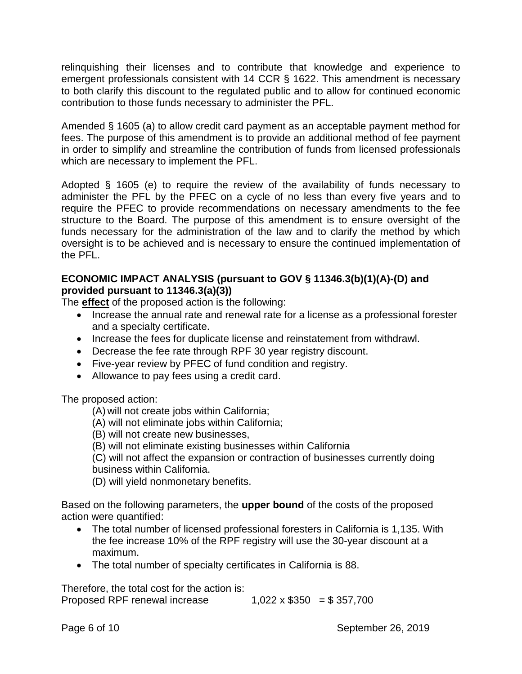relinquishing their licenses and to contribute that knowledge and experience to emergent professionals consistent with 14 CCR § 1622. This amendment is necessary to both clarify this discount to the regulated public and to allow for continued economic contribution to those funds necessary to administer the PFL.

Amended § 1605 (a) to allow credit card payment as an acceptable payment method for fees. The purpose of this amendment is to provide an additional method of fee payment in order to simplify and streamline the contribution of funds from licensed professionals which are necessary to implement the PFL.

Adopted § 1605 (e) to require the review of the availability of funds necessary to administer the PFL by the PFEC on a cycle of no less than every five years and to require the PFEC to provide recommendations on necessary amendments to the fee structure to the Board. The purpose of this amendment is to ensure oversight of the funds necessary for the administration of the law and to clarify the method by which oversight is to be achieved and is necessary to ensure the continued implementation of the PFL.

## **ECONOMIC IMPACT ANALYSIS (pursuant to GOV § 11346.3(b)(1)(A)-(D) and provided pursuant to 11346.3(a)(3))**

The **effect** of the proposed action is the following:

- Increase the annual rate and renewal rate for a license as a professional forester and a specialty certificate.
- Increase the fees for duplicate license and reinstatement from withdrawl.
- Decrease the fee rate through RPF 30 year registry discount.
- Five-year review by PFEC of fund condition and registry.
- Allowance to pay fees using a credit card.

The proposed action:

(A) will not create jobs within California;

- (A) will not eliminate jobs within California;
- (B) will not create new businesses,

(B) will not eliminate existing businesses within California

(C) will not affect the expansion or contraction of businesses currently doing business within California.

(D) will yield nonmonetary benefits.

Based on the following parameters, the **upper bound** of the costs of the proposed action were quantified:

- The total number of licensed professional foresters in California is 1,135. With the fee increase 10% of the RPF registry will use the 30-year discount at a maximum.
- The total number of specialty certificates in California is 88.

Therefore, the total cost for the action is:

Proposed RPF renewal increase  $1,022 \times $350 = $357,700$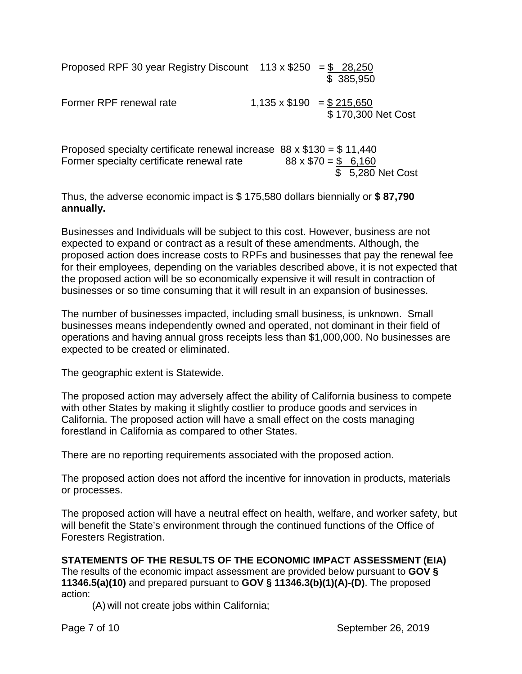| Proposed RPF 30 year Registry Discount 113 x \$250 = \$ 28,250 |                                | \$ 385,950         |
|----------------------------------------------------------------|--------------------------------|--------------------|
| Former RPF renewal rate                                        | $1,135 \times $190 = $215,650$ | \$170,300 Net Cost |

Proposed specialty certificate renewal increase  $88 \times $130 = $11,440$ Former specialty certificate renewal rate  $88 \times $70 = $$  6,160 \$ 5,280 Net Cost

Thus, the adverse economic impact is \$ 175,580 dollars biennially or **\$ 87,790 annually.**

Businesses and Individuals will be subject to this cost. However, business are not expected to expand or contract as a result of these amendments. Although, the proposed action does increase costs to RPFs and businesses that pay the renewal fee for their employees, depending on the variables described above, it is not expected that the proposed action will be so economically expensive it will result in contraction of businesses or so time consuming that it will result in an expansion of businesses.

The number of businesses impacted, including small business, is unknown. Small businesses means independently owned and operated, not dominant in their field of operations and having annual gross receipts less than \$1,000,000. No businesses are expected to be created or eliminated.

The geographic extent is Statewide.

The proposed action may adversely affect the ability of California business to compete with other States by making it slightly costlier to produce goods and services in California. The proposed action will have a small effect on the costs managing forestland in California as compared to other States.

There are no reporting requirements associated with the proposed action.

The proposed action does not afford the incentive for innovation in products, materials or processes.

The proposed action will have a neutral effect on health, welfare, and worker safety, but will benefit the State's environment through the continued functions of the Office of Foresters Registration.

**STATEMENTS OF THE RESULTS OF THE ECONOMIC IMPACT ASSESSMENT (EIA)**  The results of the economic impact assessment are provided below pursuant to **GOV § 11346.5(a)(10)** and prepared pursuant to **GOV § 11346.3(b)(1)(A)-(D)**. The proposed action:

(A) will not create jobs within California;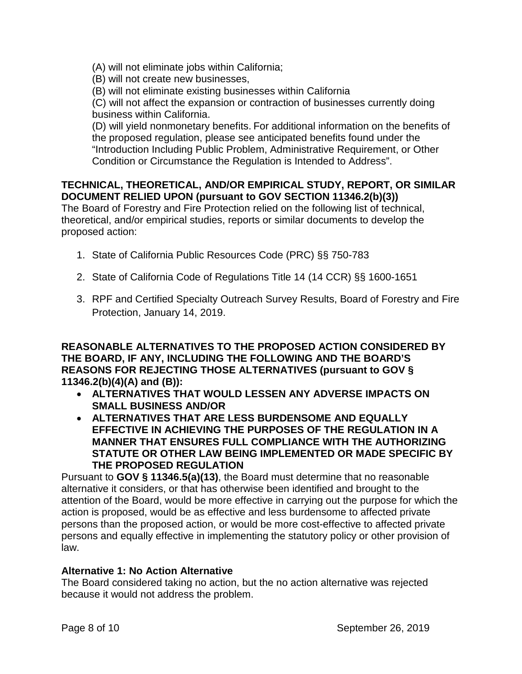(A) will not eliminate jobs within California;

(B) will not create new businesses,

(B) will not eliminate existing businesses within California

(C) will not affect the expansion or contraction of businesses currently doing business within California.

(D) will yield nonmonetary benefits. For additional information on the benefits of the proposed regulation, please see anticipated benefits found under the "Introduction Including Public Problem, Administrative Requirement, or Other Condition or Circumstance the Regulation is Intended to Address".

## **TECHNICAL, THEORETICAL, AND/OR EMPIRICAL STUDY, REPORT, OR SIMILAR DOCUMENT RELIED UPON (pursuant to GOV SECTION 11346.2(b)(3))**

The Board of Forestry and Fire Protection relied on the following list of technical, theoretical, and/or empirical studies, reports or similar documents to develop the proposed action:

- 1. State of California Public Resources Code (PRC) §§ 750-783
- 2. State of California Code of Regulations Title 14 (14 CCR) §§ 1600-1651
- 3. RPF and Certified Specialty Outreach Survey Results, Board of Forestry and Fire Protection, January 14, 2019.

**REASONABLE ALTERNATIVES TO THE PROPOSED ACTION CONSIDERED BY THE BOARD, IF ANY, INCLUDING THE FOLLOWING AND THE BOARD'S REASONS FOR REJECTING THOSE ALTERNATIVES (pursuant to GOV § 11346.2(b)(4)(A) and (B)):**

- **ALTERNATIVES THAT WOULD LESSEN ANY ADVERSE IMPACTS ON SMALL BUSINESS AND/OR**
- **ALTERNATIVES THAT ARE LESS BURDENSOME AND EQUALLY EFFECTIVE IN ACHIEVING THE PURPOSES OF THE REGULATION IN A MANNER THAT ENSURES FULL COMPLIANCE WITH THE AUTHORIZING STATUTE OR OTHER LAW BEING IMPLEMENTED OR MADE SPECIFIC BY THE PROPOSED REGULATION**

Pursuant to **GOV § 11346.5(a)(13)**, the Board must determine that no reasonable alternative it considers, or that has otherwise been identified and brought to the attention of the Board, would be more effective in carrying out the purpose for which the action is proposed, would be as effective and less burdensome to affected private persons than the proposed action, or would be more cost-effective to affected private persons and equally effective in implementing the statutory policy or other provision of law.

## **Alternative 1: No Action Alternative**

The Board considered taking no action, but the no action alternative was rejected because it would not address the problem.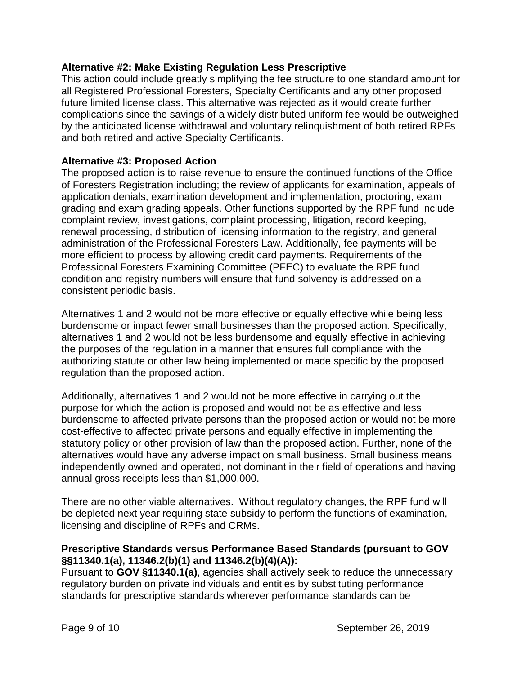### **Alternative #2: Make Existing Regulation Less Prescriptive**

This action could include greatly simplifying the fee structure to one standard amount for all Registered Professional Foresters, Specialty Certificants and any other proposed future limited license class. This alternative was rejected as it would create further complications since the savings of a widely distributed uniform fee would be outweighed by the anticipated license withdrawal and voluntary relinquishment of both retired RPFs and both retired and active Specialty Certificants.

### **Alternative #3: Proposed Action**

The proposed action is to raise revenue to ensure the continued functions of the Office of Foresters Registration including; the review of applicants for examination, appeals of application denials, examination development and implementation, proctoring, exam grading and exam grading appeals. Other functions supported by the RPF fund include complaint review, investigations, complaint processing, litigation, record keeping, renewal processing, distribution of licensing information to the registry, and general administration of the Professional Foresters Law. Additionally, fee payments will be more efficient to process by allowing credit card payments. Requirements of the Professional Foresters Examining Committee (PFEC) to evaluate the RPF fund condition and registry numbers will ensure that fund solvency is addressed on a consistent periodic basis.

Alternatives 1 and 2 would not be more effective or equally effective while being less burdensome or impact fewer small businesses than the proposed action. Specifically, alternatives 1 and 2 would not be less burdensome and equally effective in achieving the purposes of the regulation in a manner that ensures full compliance with the authorizing statute or other law being implemented or made specific by the proposed regulation than the proposed action.

Additionally, alternatives 1 and 2 would not be more effective in carrying out the purpose for which the action is proposed and would not be as effective and less burdensome to affected private persons than the proposed action or would not be more cost-effective to affected private persons and equally effective in implementing the statutory policy or other provision of law than the proposed action. Further, none of the alternatives would have any adverse impact on small business. Small business means independently owned and operated, not dominant in their field of operations and having annual gross receipts less than \$1,000,000.

There are no other viable alternatives. Without regulatory changes, the RPF fund will be depleted next year requiring state subsidy to perform the functions of examination, licensing and discipline of RPFs and CRMs.

## **Prescriptive Standards versus Performance Based Standards (pursuant to GOV §§11340.1(a), 11346.2(b)(1) and 11346.2(b)(4)(A)):**

Pursuant to **GOV §11340.1(a)**, agencies shall actively seek to reduce the unnecessary regulatory burden on private individuals and entities by substituting performance standards for prescriptive standards wherever performance standards can be